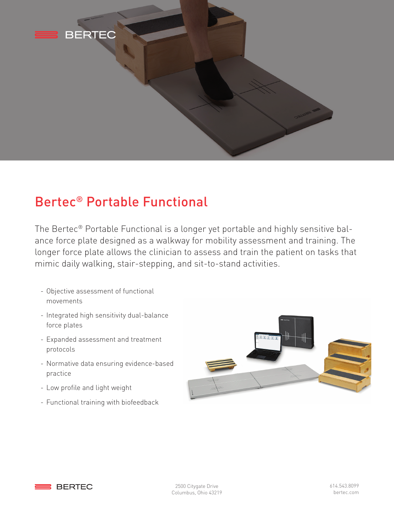

## Bertec® Portable Functional

The Bertec® Portable Functional is a longer yet portable and highly sensitive balance force plate designed as a walkway for mobility assessment and training. The longer force plate allows the clinician to assess and train the patient on tasks that mimic daily walking, stair-stepping, and sit-to-stand activities.

- Objective assessment of functional movements
- Integrated high sensitivity dual-balance force plates
- Expanded assessment and treatment protocols
- Normative data ensuring evidence-based practice
- Low profile and light weight
- Functional training with biofeedback